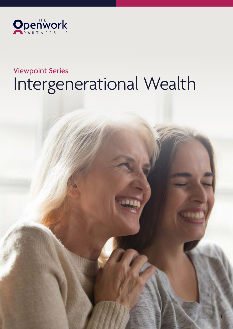

# Viewpoint Series Intergenerational Wealth

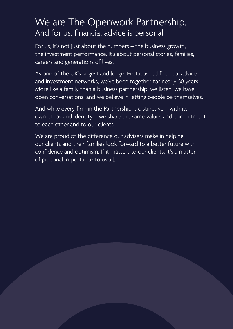### We are The Openwork Partnership. And for us, financial advice is personal.

For us, it's not just about the numbers – the business growth, the investment performance. It's about personal stories, families, careers and generations of lives.

As one of the UK's largest and longest-established financial advice and investment networks, we've been together for nearly 50 years. More like a family than a business partnership, we listen, we have open conversations, and we believe in letting people be themselves.

And while every firm in the Partnership is distinctive – with its own ethos and identity – we share the same values and commitment to each other and to our clients.

We are proud of the difference our advisers make in helping our clients and their families look forward to a better future with confidence and optimism. If it matters to our clients, it's a matter of personal importance to us all.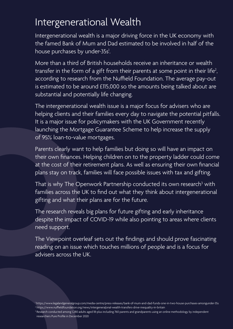## Intergenerational Wealth

Intergenerational wealth is a major driving force in the UK economy with the famed Bank of Mum and Dad estimated to be involved in half of the house purchases by under-35s<sup>1</sup>.

More than a third of British households receive an inheritance or wealth transfer in the form of a gift from their parents at some point in their life<sup>2</sup>, according to research from the Nuffield Foundation. The average pay-out is estimated to be around £115,000 so the amounts being talked about are substantial and potentially life changing.

The intergenerational wealth issue is a major focus for advisers who are helping clients and their families every day to navigate the potential pitfalls. It is a major issue for policymakers with the UK Government recently launching the Mortgage Guarantee Scheme to help increase the supply of 95% loan-to-value mortgages.

Parents clearly want to help families but doing so will have an impact on their own finances. Helping children on to the property ladder could come at the cost of their retirement plans. As well as ensuring their own financial plans stay on track, families will face possible issues with tax and gifting.

That is why The Openwork Partnership conducted its own research<sup>3</sup> with families across the UK to find out what they think about intergenerational gifting and what their plans are for the future.

The research reveals big plans for future gifting and early inheritance despite the impact of COVID-19 while also pointing to areas where clients need support.

The Viewpoint overleaf sets out the findings and should prove fascinating reading on an issue which touches millions of people and is a focus for advisers across the UK.

<sup>1</sup> https://www.legalandgeneralgroup.com/media-centre/press-releases/bank-of-mum-and-dad-funds-one-in-two-house-purchases-amongunder-35s 2 https://www.nuffieldfoundation.org/news/intergenera(onal-wealth-transfers-drive-inequality-in-britain

<sup>&</sup>lt;sup>3</sup> Research conducted among 1,280 adults aged 18-plus including 760 parents and grandparents using an online methodology by independent researchers Pure Profile in December 2020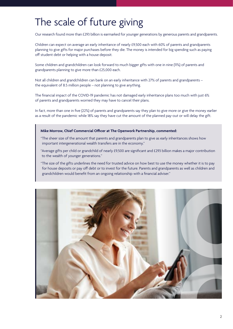## The scale of future giving

Our research found more than £293 billion is earmarked for younger generations by generous parents and grandparents.

Children can expect on average an early inheritance of nearly £9,500 each with 60% of parents and grandparents planning to give gifts for major purchases before they die. The money is intended for big spending such as paying off student debt or helping with a house deposit.

Some children and grandchildren can look forward to much bigger gifts with one in nine (11%) of parents and grandparents planning to give more than £25,000 each.

Not all children and grandchildren can bank on an early inheritance with 27% of parents and grandparents – the equivalent of 8.5 million people – not planning to give anything.

The financial impact of the COVID-19 pandemic has not damaged early inheritance plans too much with just 6% of parents and grandparents worried they may have to cancel their plans.

In fact, more than one in five (22%) of parents and grandparents say they plan to give more or give the money earlier as a result of the pandemic while 18% say they have cut the amount of the planned pay-out or will delay the gift.

### **Mike Morrow, Chief Commercial Officer at The Openwork Partnership, commented:**

- "The sheer size of the amount that parents and grandparents plan to give as early inheritances shows how important intergenerational wealth transfers are in the economy."
- "Average gifts per child or grandchild of nearly £9,500 are significant and £293 billion makes a major contribution to the wealth of younger generations."
- "The size of the gifts underlines the need for trusted advice on how best to use the money whether it is to pay for house deposits or pay off debt or to invest for the future. Parents and grandparents as well as children and grandchildren would benefit from an ongoing relationship with a financial adviser."

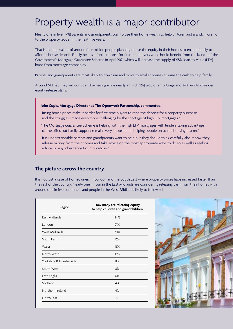### Property wealth is a major contributor

Nearly one in five (17%) parents and grandparents plan to use their home wealth to help children and grandchildren on to the property ladder in the next five years.

That is the equivalent of around four million people planning to use the equity in their homes to enable family to afford a house deposit. Family help is a further boost for first-time buyers who should benefit from the launch of the Government's Mortgage Guarantee Scheme in April 2021 which will increase the supply of 95% loan-to-value (LTV) loans from mortgage companies.

Parents and grandparents are most likely to downsize and move to smaller houses to raise the cash to help family.

Around 61% say they will consider downsizing while nearly a third (31%) would remortgage and 24% would consider equity release plans.

### **John Cupis, Mortgage Director at The Openwork Partnership, commented:**

- "Rising house prices make it harder for first-time buyers to raise the deposit for a property purchase and the struggle is made even more challenging by the shortage of high LTV mortgages."
- "The Mortgage Guarantee Scheme is helping with the high LTV mortgages with lenders taking advantage of the offer, but family support remains very important in helping people on to the housing market."
- "It is understandable parents and grandparents want to help but they should think carefully about how they release money from their homes and take advice on the most appropriate ways to do so as well as seeking advice on any inheritance tax implications."

### **The picture across the country**

It is not just a case of homeowners in London and the South East where property prices have increased faster than the rest of the country. Nearly one in four in the East Midlands are considering releasing cash from their homes with around one in five Londoners and people in the West Midlands likely to follow suit.

| How many are releasing equity<br>to help children and grandchildren |
|---------------------------------------------------------------------|
| 24%                                                                 |
| 21%                                                                 |
| 20%                                                                 |
| 16%                                                                 |
| 16%                                                                 |
| 13%                                                                 |
| 11%                                                                 |
| 8%                                                                  |
| 6%                                                                  |
| 4%                                                                  |
| 4%                                                                  |
| $\Omega$                                                            |
|                                                                     |

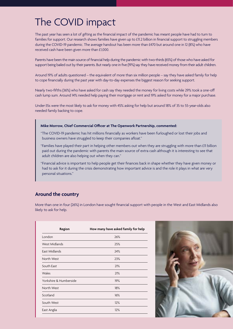## The COVID impact

The past year has seen a lot of gifting as the financial impact of the pandemic has meant people have had to turn to families for support. Our research shows families have given up to £11.2 billion in financial support to struggling members during the COVID-19 pandemic. The average handout has been more than £470 but around one in 12 (8%) who have received cash have been given more than £1,000.

Parents have been the main source of financial help during the pandemic with two-thirds (65%) of those who have asked for support being bailed out by their parents. But nearly one in five (19%) say they have received money from their adult children.

Around 19% of adults questioned – the equivalent of more than six million people – say they have asked family for help to cope financially during the past year with day-to-day expenses the biggest reason for seeking support.

Nearly two-fifths (36%) who have asked for cash say they needed the money for living costs while 29% took a one-off cash lump sum. Around 14% needed help paying their mortgage or rent and 19% asked for money for a major purchase.

Under-35s were the most likely to ask for money with 45% asking for help but around 18% of 35 to 55-year-olds also needed family backing to cope.

### **Mike Morrow, Chief Commercial Officer at The Openwork Partnership, commented:**

- "The COVID-19 pandemic has hit millions financially as workers have been furloughed or lost their jobs and business owners have struggled to keep their companies afloat."
- "Families have played their part in helping other members out when they are struggling with more than £11 billion paid out during the pandemic with parents the main source of extra cash although it is interesting to see that adult children are also helping out when they can."
- "Financial advice is important to help people get their finances back in shape whether they have given money or had to ask for it during the crisis demonstrating how important advice is and the role it plays in what are very personal situations."

### **Around the country**

More than one in four (26%) in London have sought financial support with people in the West and East Midlands also likely to ask for help.

| Region                 | How many have asked family for help |
|------------------------|-------------------------------------|
| London                 | 26%                                 |
| West Midlands          | 25%                                 |
| East Midlands          | 24%                                 |
| North West             | 23%                                 |
| South East             | 21%                                 |
| Wales                  | 21%                                 |
| Yorkshire & Humberside | 19%                                 |
| North West             | 18%                                 |
| Scotland               | 16%                                 |
| South West             | 12%                                 |
| East Anglia            | 12%                                 |

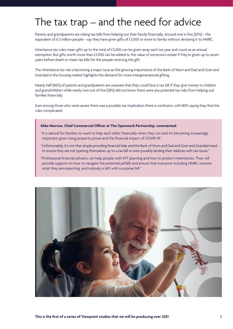## The tax trap – and the need for advice

Parents and grandparents are risking tax bills from helping out their family financially. Around one in five (20%) – the equivalent of 6.3 million people – say they have given gifts of £3,000 or more to family without declaring it to HMRC.

Inheritance tax rules mean gifts up to the total of £3,000 can be given away each tax year and count as an annual exemption. But gifts worth more than £3,000 can be added to the value of someone's estate if they're given up to seven years before death or mean tax bills for the people receiving the gift.

The inheritance tax risk is becoming a major issue as the growing importance of the Bank of Mum and Dad and Gran and Grandad in the housing market highlights the demand for more intergenerational gifting.

Nearly half (46%) of parents and grandparents are unaware that they could face a tax bill if they give money to children and grandchildren while nearly two out of five (38%) did not know there were any potential tax risks from helping out families financially.

Even among those who were aware there was a possible tax implication there is confusion, with 80% saying they find the rules complicated.

### **Mike Morrow, Chief Commercial Officer at The Openwork Partnership, commented:**

- "It is natural for families to want to help each other financially when they can and it's becoming increasingly important given rising property prices and the financial impact of COVID-19."
- "Unfortunately, it's not that simple providing financial help and the Bank of Mum and Dad and Gran and Grandad need to ensure they are not opening themselves up to a tax bill or even possibly landing their relatives with tax issues."
- "Professional financial advisers can help people with IHT planning and how to protect inheritances. They will provide support on how to navigate the potential pitfalls and ensure that everyone including HMRC receives what they are expecting, and nobody is left with a surprise bill."